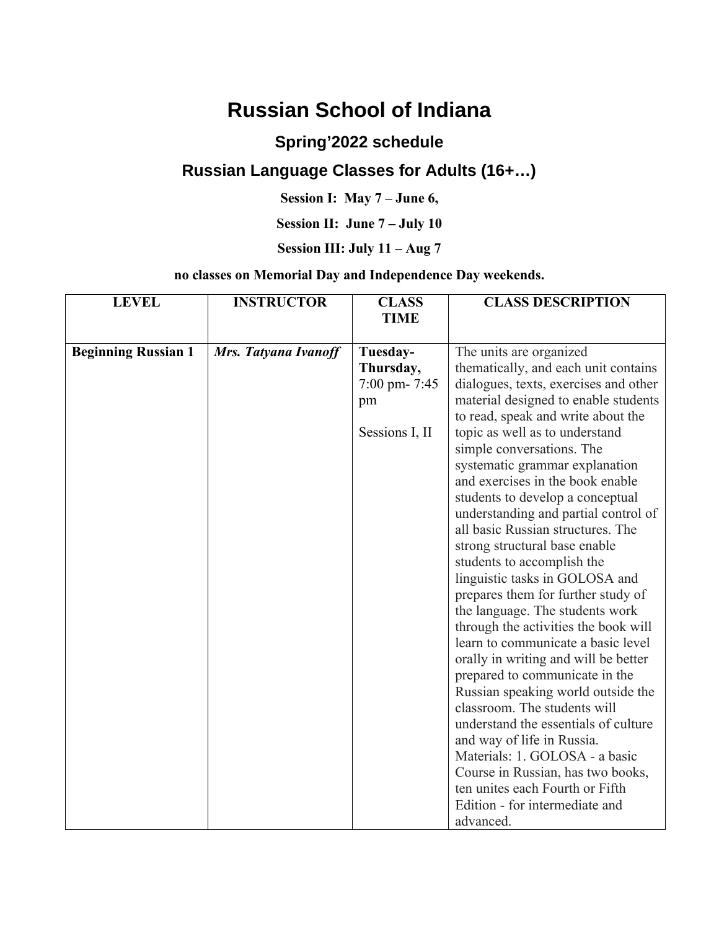# **Russian School of Indiana**

### **Spring'2022 schedule**

## **Russian Language Classes for Adults (16+…)**

**Session I: May 7 – June 6,** 

**Session II: June 7 – July 10**

### **Session III: July 11 – Aug 7**

#### **no classes on Memorial Day and Independence Day weekends.**

| <b>LEVEL</b>               | <b>INSTRUCTOR</b>    | <b>CLASS</b><br><b>TIME</b>                                   | <b>CLASS DESCRIPTION</b>                                                                                                                                                                                                                                                                                                                                                                                                                                                                                                                                                                                                                                                                                                                                                                                                                                                                                                                                                                                                                                               |
|----------------------------|----------------------|---------------------------------------------------------------|------------------------------------------------------------------------------------------------------------------------------------------------------------------------------------------------------------------------------------------------------------------------------------------------------------------------------------------------------------------------------------------------------------------------------------------------------------------------------------------------------------------------------------------------------------------------------------------------------------------------------------------------------------------------------------------------------------------------------------------------------------------------------------------------------------------------------------------------------------------------------------------------------------------------------------------------------------------------------------------------------------------------------------------------------------------------|
| <b>Beginning Russian 1</b> | Mrs. Tatyana Ivanoff | Tuesday-<br>Thursday,<br>7:00 pm-7:45<br>pm<br>Sessions I, II | The units are organized<br>thematically, and each unit contains<br>dialogues, texts, exercises and other<br>material designed to enable students<br>to read, speak and write about the<br>topic as well as to understand<br>simple conversations. The<br>systematic grammar explanation<br>and exercises in the book enable<br>students to develop a conceptual<br>understanding and partial control of<br>all basic Russian structures. The<br>strong structural base enable<br>students to accomplish the<br>linguistic tasks in GOLOSA and<br>prepares them for further study of<br>the language. The students work<br>through the activities the book will<br>learn to communicate a basic level<br>orally in writing and will be better<br>prepared to communicate in the<br>Russian speaking world outside the<br>classroom. The students will<br>understand the essentials of culture<br>and way of life in Russia.<br>Materials: 1. GOLOSA - a basic<br>Course in Russian, has two books,<br>ten unites each Fourth or Fifth<br>Edition - for intermediate and |
|                            |                      |                                                               | advanced.                                                                                                                                                                                                                                                                                                                                                                                                                                                                                                                                                                                                                                                                                                                                                                                                                                                                                                                                                                                                                                                              |